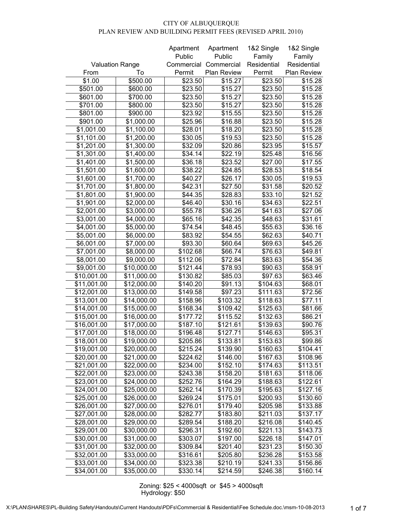|                         |             | Apartment  | Apartment   | 1&2 Single  | 1&2 Single  |
|-------------------------|-------------|------------|-------------|-------------|-------------|
|                         |             | Public     | Public      | Family      | Family      |
| <b>Valuation Range</b>  |             | Commercial | Commercial  | Residential | Residential |
| From                    | To          | Permit     | Plan Review | Permit      | Plan Review |
| \$1.00                  | \$500.00    | \$23.50    | \$15.27     | \$23.50     | \$15.28     |
| \$501.00                | \$600.00    | \$23.50    | \$15.27     | \$23.50     | \$15.28     |
| \$601.00                | \$700.00    | \$23.50    | \$15.27     | \$23.50     | \$15.28     |
| \$701.00                | \$800.00    | \$23.50    | \$15.27     | \$23.50     | \$15.28     |
| \$801.00                | \$900.00    | \$23.92    | \$15.55     | \$23.50     | \$15.28     |
| \$901.00                | \$1,000.00  | \$25.96    | \$16.88     | \$23.50     | \$15.28     |
| \$1,001.00              | \$1,100.00  | \$28.01    | \$18.20     | \$23.50     | \$15.28     |
| \$1,101.00              | \$1,200.00  | \$30.05    | \$19.53     | \$23.50     | \$15.28     |
| \$1,201.00              | \$1,300.00  | \$32.09    | \$20.86     | \$23.95     | \$15.57     |
| \$1,301.00              | \$1,400.00  | \$34.14    | \$22.19     | \$25.48     | \$16.56     |
| \$1,401.00              | \$1,500.00  | \$36.18    | \$23.52     | \$27.00     | \$17.55     |
| \$1,501.00              | \$1,600.00  | \$38.22    | \$24.85     | \$28.53     | \$18.54     |
| \$1,601.00              | \$1,700.00  | \$40.27    | \$26.17     | \$30.05     | \$19.53     |
| \$1,701.00              | \$1,800.00  | \$42.31    | \$27.50     | \$31.58     | \$20.52     |
| \$1,801.00              | \$1,900.00  | \$44.35    | \$28.83     | \$33.10     | \$21.52     |
| \$1,901.00              | \$2,000.00  | \$46.40    | \$30.16     | \$34.63     | \$22.51     |
| \$2,001.00              | \$3,000.00  | \$55.78    | \$36.26     | \$41.63     | \$27.06     |
| \$3,001.00              | \$4,000.00  | \$65.16    | \$42.35     | \$48.63     | \$31.61     |
| \$4,001.00              | \$5,000.00  | \$74.54    | \$48.45     | \$55.63     | \$36.16     |
| \$5,001.00              | \$6,000.00  | \$83.92    | \$54.55     | \$62.63     | \$40.71     |
| \$6,001.00              | \$7,000.00  | \$93.30    | \$60.64     | \$69.63     | \$45.26     |
| \$7,001.00              | \$8,000.00  | \$102.68   | \$66.74     | \$76.63     | \$49.81     |
| \$8,001.00              | \$9,000.00  | \$112.06   | \$72.84     | \$83.63     | \$54.36     |
| \$9,001.00              | \$10,000.00 | \$121.44   | \$78.93     | \$90.63     | \$58.91     |
| \$10,001.00             | \$11,000.00 | \$130.82   | \$85.03     | \$97.63     | \$63.46     |
| \$11,001.00             | \$12,000.00 | \$140.20   | \$91.13     | \$104.63    | \$68.01     |
| \$12,001.00             | \$13,000.00 | \$149.58   | \$97.23     | \$111.63    | \$72.56     |
| \$13,001.00             | \$14,000.00 | \$158.96   | \$103.32    | \$118.63    | \$77.11     |
| \$14,001.00             | \$15,000.00 | \$168.34   | \$109.42    | \$125.63    | \$81.66     |
| \$15,001.00             | \$16,000.00 | \$177.72   | \$115.52    | \$132.63    | \$86.21     |
| \$16,001.00             | \$17,000.00 | \$187.10   | \$121.61    | \$139.63    | \$90.76     |
| \$17,001.00             | \$18,000.00 | \$196.48   | \$127.71    | \$146.63    | \$95.31     |
| \$18,001.00             | \$19,000.00 | \$205.86   | \$133.81    | \$153.63    | \$99.86     |
| \$19,001.00             | \$20,000.00 | \$215.24   | \$139.90    | \$160.63    | \$104.41    |
| \$20,001.00             | \$21,000.00 | \$224.62   | \$146.00    | \$167.63    | \$108.96    |
| \$21,001.00             | \$22,000.00 | \$234.00   | \$152.10    | \$174.63    | \$113.51    |
| \$22,001.00             | \$23,000.00 | \$243.38   | \$158.20    | \$181.63    | \$118.06    |
| \$23,001.00             | \$24,000.00 | \$252.76   | \$164.29    | \$188.63    | \$122.61    |
| \$24,001.00             | \$25,000.00 | \$262.14   | \$170.39    | \$195.63    | \$127.16    |
| \$25,001.00             | \$26,000.00 | \$269.24   | \$175.01    | \$200.93    | \$130.60    |
| \$26,001.00             | \$27,000.00 | \$276.01   | \$179.40    | \$205.98    | \$133.88    |
| $\overline{$}27,001.00$ | \$28,000.00 | \$282.77   | \$183.80    | \$211.03    | \$137.17    |
| \$28,001.00             | \$29,000.00 | \$289.54   | \$188.20    | \$216.08    | \$140.45    |
| \$29,001.00             | \$30,000.00 | \$296.31   | \$192.60    | \$221.13    | \$143.73    |
| \$30,001.00             | \$31,000.00 | \$303.07   | \$197.00    | \$226.18    | \$147.01    |
| \$31,001.00             | \$32,000.00 | \$309.84   | \$201.40    | \$231.23    | \$150.30    |
| \$32,001.00             | \$33,000.00 | \$316.61   | \$205.80    | \$236.28    | \$153.58    |
| \$33,001.00             | \$34,000.00 | \$323.38   | \$210.19    | \$241.33    | \$156.86    |
| \$34,001.00             | \$35,000.00 | \$330.14   | \$214.59    | \$246.38    | \$160.14    |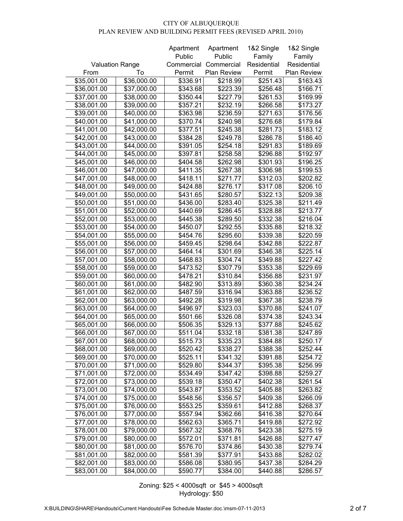|                         |             | Apartment  | Apartment   | 1&2 Single  | 1&2 Single  |
|-------------------------|-------------|------------|-------------|-------------|-------------|
|                         |             | Public     | Public      | Family      | Family      |
| <b>Valuation Range</b>  |             | Commercial | Commercial  | Residential | Residential |
| From                    | To          | Permit     | Plan Review | Permit      | Plan Review |
| \$35,001.00             | \$36,000.00 | \$336.91   | \$218.99    | \$251.43    | \$163.43    |
| \$36,001.00             | \$37,000.00 | \$343.68   | \$223.39    | \$256.48    | \$166.71    |
| \$37,001.00             | \$38,000.00 | \$350.44   | \$227.79    | \$261.53    | \$169.99    |
| \$38,001.00             | \$39,000.00 | \$357.21   | \$232.19    | \$266.58    | \$173.27    |
| \$39,001.00             | \$40,000.00 | \$363.98   | \$236.59    | \$271.63    | \$176.56    |
| \$40,001.00             | \$41,000.00 | \$370.74   | \$240.98    | \$276.68    | \$179.84    |
| \$41,001.00             | \$42,000.00 | \$377.51   | \$245.38    | \$281.73    | \$183.12    |
| \$42,001.00             | \$43,000.00 | \$384.28   | \$249.78    | \$286.78    | \$186.40    |
| \$43,001.00             | \$44,000.00 | \$391.05   | \$254.18    | \$291.83    | \$189.69    |
| \$44,001.00             | \$45,000.00 | \$397.81   | \$258.58    | \$296.88    | \$192.97    |
| \$45,001.00             | \$46,000.00 | \$404.58   | \$262.98    | \$301.93    | \$196.25    |
| \$46,001.00             | \$47,000.00 | \$411.35   | \$267.38    | \$306.98    | \$199.53    |
| \$47,001.00             | \$48,000.00 | \$418.11   | \$271.77    | \$312.03    | \$202.82    |
| \$48,001.00             | \$49,000.00 | \$424.88   | \$276.17    | \$317.08    | \$206.10    |
| \$49,001.00             | \$50,000.00 | \$431.65   | \$280.57    | \$322.13    | \$209.38    |
| \$50,001.00             | \$51,000.00 | \$436.00   | \$283.40    | \$325.38    | \$211.49    |
| \$51,001.00             | \$52,000.00 | \$440.69   | \$286.45    | \$328.88    | \$213.77    |
| \$52,001.00             | \$53,000.00 | \$445.38   | \$289.50    | \$332.38    | \$216.04    |
| \$53,001.00             | \$54,000.00 | \$450.07   | \$292.55    | \$335.88    | \$218.32    |
| \$54,001.00             | \$55,000.00 | \$454.76   | \$295.60    | \$339.38    | \$220.59    |
| \$55,001.00             | \$56,000.00 | \$459.45   | \$298.64    | \$342.88    | \$222.87    |
| \$56,001.00             | \$57,000.00 | \$464.14   | \$301.69    | \$346.38    | \$225.14    |
| \$57,001.00             | \$58,000.00 | \$468.83   | \$304.74    | \$349.88    | \$227.42    |
| \$58,001.00             | \$59,000.00 | \$473.52   | \$307.79    | \$353.38    | \$229.69    |
| \$59,001.00             | \$60,000.00 | \$478.21   | \$310.84    | \$356.88    | \$231.97    |
| \$60,001.00             | \$61,000.00 | \$482.90   | \$313.89    | \$360.38    | \$234.24    |
| \$61,001.00             | \$62,000.00 | \$487.59   | \$316.94    | \$363.88    | \$236.52    |
| \$62,001.00             | \$63,000.00 | \$492.28   | \$319.98    | \$367.38    | \$238.79    |
| \$63,001.00             | \$64,000.00 | \$496.97   | \$323.03    | \$370.88    | \$241.07    |
| \$64,001.00             | \$65,000.00 | \$501.66   | \$326.08    | \$374.38    | \$243.34    |
| \$65,001.00             | \$66,000.00 | \$506.35   | \$329.13    | \$377.88    | \$245.62    |
| \$66,001.00             | \$67,000.00 | \$511.04   | \$332.18    | \$381.38    | \$247.89    |
| \$67,001.00             | \$68,000.00 | \$515.73   | \$335.23    | \$384.88    | \$250.17    |
| \$68,001.00             | \$69,000.00 | \$520.42   | \$338.27    | \$388.38    | \$252.44    |
| \$69,001.00             | \$70,000.00 | \$525.11   | \$341.32    | \$391.88    | \$254.72    |
| \$70,001.00             | \$71,000.00 | \$529.80   | \$344.37    | \$395.38    | \$256.99    |
| \$71,001.00             | \$72,000.00 | \$534.49   | \$347.42    | \$398.88    | \$259.27    |
| \$72,001.00             | \$73,000.00 | \$539.18   | \$350.47    | \$402.38    | \$261.54    |
| \$73,001.00             | \$74,000.00 | \$543.87   | \$353.52    | \$405.88    | \$263.82    |
| \$74,001.00             | \$75,000.00 | \$548.56   | \$356.57    | \$409.38    | \$266.09    |
| $\overline{$}75,001.00$ | \$76,000.00 | \$553.25   | \$359.61    | \$412.88    | \$268.37    |
| \$76,001.00             | \$77,000.00 | \$557.94   | \$362.66    | \$416.38    | \$270.64    |
| \$77,001.00             | \$78,000.00 | \$562.63   | \$365.71    | \$419.88    | \$272.92    |
| \$78,001.00             | \$79,000.00 | \$567.32   | \$368.76    | \$423.38    | \$275.19    |
| \$79,001.00             | \$80,000.00 | \$572.01   | \$371.81    | \$426.88    | \$277.47    |
| \$80,001.00             | \$81,000.00 | \$576.70   | \$374.86    | \$430.38    | \$279.74    |
| \$81,001.00             | \$82,000.00 | \$581.39   | \$377.91    | \$433.88    | \$282.02    |
| \$82,001.00             | \$83,000.00 | \$586.08   | \$380.95    | \$437.38    | \$284.29    |
| \$83,001.00             | \$84,000.00 | \$590.77   | \$384.00    | \$440.88    | \$286.57    |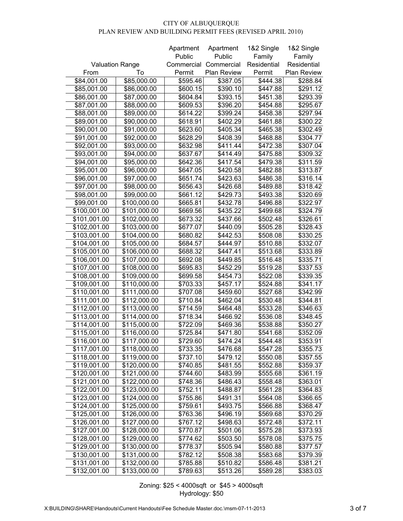|                        |              | Apartment  | Apartment   | 1&2 Single  | 1&2 Single  |
|------------------------|--------------|------------|-------------|-------------|-------------|
|                        |              | Public     | Public      | Family      | Family      |
| <b>Valuation Range</b> |              | Commercial | Commercial  | Residential | Residential |
| From                   | To           | Permit     | Plan Review | Permit      | Plan Review |
| \$84,001.00            | \$85,000.00  | \$595.46   | \$387.05    | \$444.38    | \$288.84    |
| \$85,001.00            | \$86,000.00  | \$600.15   | \$390.10    | \$447.88    | \$291.12    |
| \$86,001.00            | \$87,000.00  | \$604.84   | \$393.15    | \$451.38    | \$293.39    |
| \$87,001.00            | \$88,000.00  | \$609.53   | \$396.20    | \$454.88    | \$295.67    |
| \$88,001.00            | \$89,000.00  | \$614.22   | \$399.24    | \$458.38    | \$297.94    |
| \$89,001.00            | \$90,000.00  | \$618.91   | \$402.29    | \$461.88    | \$300.22    |
| \$90,001.00            | \$91,000.00  | \$623.60   | \$405.34    | \$465.38    | \$302.49    |
| \$91,001.00            | \$92,000.00  | \$628.29   | \$408.39    | \$468.88    | \$304.77    |
| \$92,001.00            | \$93,000.00  | \$632.98   | \$411.44    | \$472.38    | \$307.04    |
| \$93,001.00            | \$94,000.00  | \$637.67   | \$414.49    | \$475.88    | \$309.32    |
| \$94,001.00            | \$95,000.00  | \$642.36   | \$417.54    | \$479.38    | \$311.59    |
| \$95,001.00            | \$96,000.00  | \$647.05   | \$420.58    | \$482.88    | \$313.87    |
| \$96,001.00            | \$97,000.00  | \$651.74   | \$423.63    | \$486.38    | \$316.14    |
| \$97,001.00            | \$98,000.00  | \$656.43   | \$426.68    | \$489.88    | \$318.42    |
| \$98,001.00            | \$99,000.00  | \$661.12   | \$429.73    | \$493.38    | \$320.69    |
| \$99,001.00            | \$100,000.00 | \$665.81   | \$432.78    | \$496.88    | \$322.97    |
| \$100,001.00           | \$101,000.00 | \$669.56   | \$435.22    | \$499.68    | \$324.79    |
| \$101,001.00           | \$102,000.00 | \$673.32   | \$437.66    | \$502.48    | \$326.61    |
| \$102,001.00           | \$103,000.00 | \$677.07   | \$440.09    | \$505.28    | \$328.43    |
| \$103,001.00           | \$104,000.00 | \$680.82   | \$442.53    | \$508.08    | \$330.25    |
| \$104,001.00           | \$105,000.00 | \$684.57   | \$444.97    | \$510.88    | \$332.07    |
| \$105,001.00           | \$106,000.00 | \$688.32   | \$447.41    | \$513.68    | \$333.89    |
| \$106,001.00           | \$107,000.00 | \$692.08   | \$449.85    | \$516.48    | \$335.71    |
| \$107,001.00           | \$108,000.00 | \$695.83   | \$452.29    | \$519.28    | \$337.53    |
| \$108,001.00           | \$109,000.00 | \$699.58   | \$454.73    | \$522.08    | \$339.35    |
| \$109,001.00           | \$110,000.00 | \$703.33   | \$457.17    | \$524.88    | \$341.17    |
| \$110,001.00           | \$111,000.00 | \$707.08   | \$459.60    | \$527.68    | \$342.99    |
| \$111,001.00           | \$112,000.00 | \$710.84   | \$462.04    | \$530.48    | \$344.81    |
| \$112,001.00           | \$113,000.00 | \$714.59   | \$464.48    | \$533.28    | \$346.63    |
| \$113,001.00           | \$114,000.00 | \$718.34   | \$466.92    | \$536.08    | \$348.45    |
| \$114,001.00           | \$115,000.00 | \$722.09   | \$469.36    | \$538.88    | \$350.27    |
| \$115,001.00           | \$116,000.00 | \$725.84   | \$471.80    | \$541.68    | \$352.09    |
| \$116,001.00           | \$117,000.00 | \$729.60   | \$474.24    | \$544.48    | \$353.91    |
| \$117,001.00           | \$118,000.00 | \$733.35   | \$476.68    | \$547.28    | \$355.73    |
| \$118,001.00           | \$119,000.00 | \$737.10   | \$479.12    | \$550.08    | \$357.55    |
| \$119,001.00           | \$120,000.00 | \$740.85   | \$481.55    | \$552.88    | \$359.37    |
| \$120,001.00           | \$121,000.00 | \$744.60   | \$483.99    | \$555.68    | \$361.19    |
| \$121,001.00           | \$122,000.00 | \$748.36   | \$486.43    | \$558.48    | \$363.01    |
| \$122,001.00           | \$123,000.00 | \$752.11   | \$488.87    | \$561.28    | \$364.83    |
| \$123,001.00           | \$124,000.00 | \$755.86   | \$491.31    | \$564.08    | \$366.65    |
| \$124,001.00           | \$125,000.00 | \$759.61   | \$493.75    | \$566.88    | \$368.47    |
| \$125,001.00           | \$126,000.00 | \$763.36   | \$496.19    | \$569.68    | \$370.29    |
| \$126,001.00           | \$127,000.00 | \$767.12   | \$498.63    | \$572.48    | \$372.11    |
| \$127,001.00           | \$128,000.00 | \$770.87   | \$501.06    | \$575.28    | \$373.93    |
| \$128,001.00           | \$129,000.00 | \$774.62   | \$503.50    | \$578.08    | \$375.75    |
| \$129,001.00           | \$130,000.00 | \$778.37   | \$505.94    | \$580.88    | \$377.57    |
| \$130,001.00           | \$131,000.00 | \$782.12   | \$508.38    | \$583.68    | \$379.39    |
| \$131,001.00           | \$132,000.00 | \$785.88   | \$510.82    | \$586.48    | \$381.21    |
| \$132,001.00           | \$133,000.00 | \$789.63   | \$513.26    | \$589.28    | \$383.03    |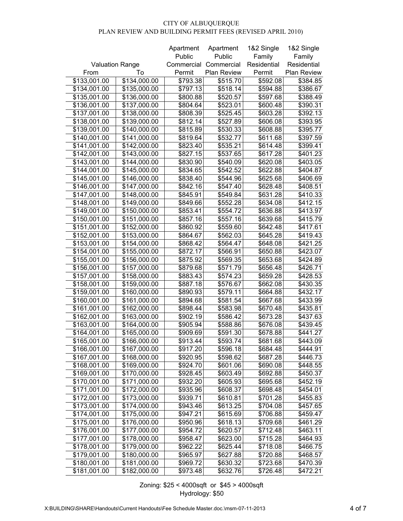|                        |              | Apartment  | Apartment   | 1&2 Single  | 1&2 Single  |
|------------------------|--------------|------------|-------------|-------------|-------------|
|                        |              | Public     | Public      | Family      | Family      |
| <b>Valuation Range</b> |              | Commercial | Commercial  | Residential | Residential |
| From                   | To           | Permit     | Plan Review | Permit      | Plan Review |
| \$133,001.00           | \$134,000.00 | \$793.38   | \$515.70    | \$592.08    | \$384.85    |
| \$134,001.00           | \$135,000.00 | \$797.13   | \$518.14    | \$594.88    | \$386.67    |
| \$135,001.00           | \$136,000.00 | \$800.88   | \$520.57    | \$597.68    | \$388.49    |
| \$136,001.00           | \$137,000.00 | \$804.64   | \$523.01    | \$600.48    | \$390.31    |
| \$137,001.00           | \$138,000.00 | \$808.39   | \$525.45    | \$603.28    | \$392.13    |
| \$138,001.00           | \$139,000.00 | \$812.14   | \$527.89    | \$606.08    | \$393.95    |
| \$139,001.00           | \$140,000.00 | \$815.89   | \$530.33    | \$608.88    | \$395.77    |
| \$140,001.00           | \$141,000.00 | \$819.64   | \$532.77    | \$611.68    | \$397.59    |
| \$141,001.00           | \$142,000.00 | \$823.40   | \$535.21    | \$614.48    | \$399.41    |
| \$142,001.00           | \$143,000.00 | \$827.15   | \$537.65    | \$617.28    | \$401.23    |
| \$143,001.00           | \$144,000.00 | \$830.90   | \$540.09    | \$620.08    | \$403.05    |
| \$144,001.00           | \$145,000.00 | \$834.65   | \$542.52    | \$622.88    | \$404.87    |
| \$145,001.00           | \$146,000.00 | \$838.40   | \$544.96    | \$625.68    | \$406.69    |
| \$146,001.00           | \$147,000.00 | \$842.16   | \$547.40    | \$628.48    | \$408.51    |
| \$147,001.00           | \$148,000.00 | \$845.91   | \$549.84    | \$631.28    | \$410.33    |
| \$148,001.00           | \$149,000.00 | \$849.66   | \$552.28    | \$634.08    | \$412.15    |
| \$149,001.00           | \$150,000.00 | \$853.41   | \$554.72    | \$636.88    | \$413.97    |
| \$150,001.00           | \$151,000.00 | \$857.16   | \$557.16    | \$639.68    | \$415.79    |
| \$151,001.00           | \$152,000.00 | \$860.92   | \$559.60    | \$642.48    | \$417.61    |
| \$152,001.00           | \$153,000.00 | \$864.67   | \$562.03    | \$645.28    | \$419.43    |
| \$153,001.00           | \$154,000.00 | \$868.42   | \$564.47    | \$648.08    | \$421.25    |
| \$154,001.00           | \$155,000.00 | \$872.17   | \$566.91    | \$650.88    | \$423.07    |
| \$155,001.00           | \$156,000.00 | \$875.92   | \$569.35    | \$653.68    | \$424.89    |
| \$156,001.00           | \$157,000.00 | \$879.68   | \$571.79    | \$656.48    | \$426.71    |
| \$157,001.00           | \$158,000.00 | \$883.43   | \$574.23    | \$659.28    | \$428.53    |
| \$158,001.00           | \$159,000.00 | \$887.18   | \$576.67    | \$662.08    | \$430.35    |
| \$159,001.00           | \$160,000.00 | \$890.93   | \$579.11    | \$664.88    | \$432.17    |
| \$160,001.00           | \$161,000.00 | \$894.68   | \$581.54    | \$667.68    | \$433.99    |
| \$161,001.00           | \$162,000.00 | \$898.44   | \$583.98    | \$670.48    | \$435.81    |
| \$162,001.00           | \$163,000.00 | \$902.19   | \$586.42    | \$673.28    | \$437.63    |
| \$163,001.00           | \$164,000.00 | \$905.94   | \$588.86    | \$676.08    | \$439.45    |
| \$164,001.00           | \$165,000.00 | \$909.69   | \$591.30    | \$678.88    | \$441.27    |
| \$165,001.00           | \$166,000.00 | \$913.44   | \$593.74    | \$681.68    | \$443.09    |
| \$166,001.00           | \$167,000.00 | \$917.20   | \$596.18    | \$684.48    | \$444.91    |
| \$167,001.00           | \$168,000.00 | \$920.95   | \$598.62    | \$687.28    | \$446.73    |
| \$168,001.00           | \$169,000.00 | \$924.70   | \$601.06    | \$690.08    | \$448.55    |
| \$169,001.00           | \$170,000.00 | \$928.45   | \$603.49    | \$692.88    | \$450.37    |
| \$170,001.00           | \$171,000.00 | \$932.20   | \$605.93    | \$695.68    | \$452.19    |
| \$171,001.00           | \$172,000.00 | \$935.96   | \$608.37    | \$698.48    | \$454.01    |
| \$172,001.00           | \$173,000.00 | \$939.71   | \$610.81    | \$701.28    | \$455.83    |
| \$173,001.00           | \$174,000.00 | \$943.46   | \$613.25    | \$704.08    | \$457.65    |
| \$174,001.00           | \$175,000.00 | \$947.21   | \$615.69    | \$706.88    | \$459.47    |
| \$175,001.00           | \$176,000.00 | \$950.96   | \$618.13    | \$709.68    | \$461.29    |
| \$176,001.00           | \$177,000.00 | \$954.72   | \$620.57    | \$712.48    | \$463.11    |
| \$177,001.00           | \$178,000.00 | \$958.47   | \$623.00    | \$715.28    | \$464.93    |
| \$178,001.00           | \$179,000.00 | \$962.22   | \$625.44    | \$718.08    | \$466.75    |
| \$179,001.00           | \$180,000.00 | \$965.97   | \$627.88    | \$720.88    | \$468.57    |
| \$180,001.00           | \$181,000.00 | \$969.72   | \$630.32    | \$723.68    | \$470.39    |
| \$181,001.00           | \$182,000.00 | \$973.48   | \$632.76    | \$726.48    | \$472.21    |
|                        |              |            |             |             |             |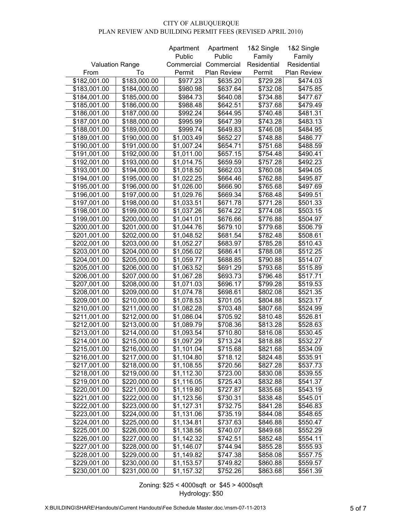|                        |              | Apartment  | Apartment   | 1&2 Single  | 1&2 Single  |
|------------------------|--------------|------------|-------------|-------------|-------------|
|                        |              | Public     | Public      | Family      | Family      |
| <b>Valuation Range</b> |              | Commercial | Commercial  | Residential | Residential |
| From                   | To           | Permit     | Plan Review | Permit      | Plan Review |
| \$182,001.00           | \$183,000.00 | \$977.23   | \$635.20    | \$729.28    | \$474.03    |
| \$183,001.00           | \$184,000.00 | \$980.98   | \$637.64    | \$732.08    | \$475.85    |
| \$184,001.00           | \$185,000.00 | \$984.73   | \$640.08    | \$734.88    | \$477.67    |
| \$185,001.00           | \$186,000.00 | \$988.48   | \$642.51    | \$737.68    | \$479.49    |
| \$186,001.00           | \$187,000.00 | \$992.24   | \$644.95    | \$740.48    | \$481.31    |
| \$187,001.00           | \$188,000.00 | \$995.99   | \$647.39    | \$743.28    | \$483.13    |
| \$188,001.00           | \$189,000.00 | \$999.74   | \$649.83    | \$746.08    | \$484.95    |
| \$189,001.00           | \$190,000.00 | \$1,003.49 | \$652.27    | \$748.88    | \$486.77    |
| \$190,001.00           | \$191,000.00 | \$1,007.24 | \$654.71    | \$751.68    | \$488.59    |
| \$191,001.00           | \$192,000.00 | \$1,011.00 | \$657.15    | \$754.48    | \$490.41    |
| \$192,001.00           | \$193,000.00 | \$1,014.75 | \$659.59    | \$757.28    | \$492.23    |
| \$193,001.00           | \$194,000.00 | \$1,018.50 | \$662.03    | \$760.08    | \$494.05    |
| \$194,001.00           | \$195,000.00 | \$1,022.25 | \$664.46    | \$762.88    | \$495.87    |
| \$195,001.00           | \$196,000.00 | \$1,026.00 | \$666.90    | \$765.68    | \$497.69    |
| \$196,001.00           | \$197,000.00 | \$1,029.76 | \$669.34    | \$768.48    | \$499.51    |
| \$197,001.00           | \$198,000.00 | \$1,033.51 | \$671.78    | \$771.28    | \$501.33    |
| \$198,001.00           | \$199,000.00 | \$1,037.26 | \$674.22    | \$774.08    | \$503.15    |
| \$199,001.00           | \$200,000.00 | \$1,041.01 | \$676.66    | \$776.88    | \$504.97    |
| \$200,001.00           | \$201,000.00 | \$1,044.76 | \$679.10    | \$779.68    | \$506.79    |
| \$201,001.00           | \$202,000.00 | \$1,048.52 | \$681.54    | \$782.48    | \$508.61    |
| \$202,001.00           | \$203,000.00 | \$1,052.27 | \$683.97    | \$785.28    | \$510.43    |
| \$203,001.00           | \$204,000.00 | \$1,056.02 | \$686.41    | \$788.08    | \$512.25    |
| \$204,001.00           | \$205,000.00 | \$1,059.77 | \$688.85    | \$790.88    | \$514.07    |
| \$205,001.00           | \$206,000.00 | \$1,063.52 | \$691.29    | \$793.68    | \$515.89    |
| \$206,001.00           | \$207,000.00 | \$1,067.28 | \$693.73    | \$796.48    | \$517.71    |
| \$207,001.00           | \$208,000.00 | \$1,071.03 | \$696.17    | \$799.28    | \$519.53    |
| \$208,001.00           | \$209,000.00 | \$1,074.78 | \$698.61    | \$802.08    | \$521.35    |
| \$209,001.00           | \$210,000.00 | \$1,078.53 | \$701.05    | \$804.88    | \$523.17    |
| \$210,001.00           | \$211,000.00 | \$1,082.28 | \$703.48    | \$807.68    | \$524.99    |
| \$211,001.00           | \$212,000.00 | \$1,086.04 | \$705.92    | \$810.48    | \$526.81    |
| \$212,001.00           | \$213,000.00 | \$1,089.79 | \$708.36    | \$813.28    | \$528.63    |
| \$213,001.00           | \$214,000.00 | \$1,093.54 | \$710.80    | \$816.08    | \$530.45    |
| \$214,001.00           | \$215,000.00 | \$1,097.29 | \$713.24    | \$818.88    | \$532.27    |
| \$215,001.00           | \$216,000.00 | \$1,101.04 | \$715.68    | \$821.68    | \$534.09    |
| \$216,001.00           | \$217,000.00 | \$1,104.80 | \$718.12    | \$824.48    | \$535.91    |
| \$217,001.00           | \$218,000.00 | \$1,108.55 | \$720.56    | \$827.28    | \$537.73    |
| \$218,001.00           | \$219,000.00 | \$1,112.30 | \$723.00    | \$830.08    | \$539.55    |
| \$219,001.00           | \$220,000.00 | \$1,116.05 | \$725.43    | \$832.88    | \$541.37    |
| \$220,001.00           | \$221,000.00 | \$1,119.80 | \$727.87    | \$835.68    | \$543.19    |
| \$221,001.00           | \$222,000.00 | \$1,123.56 | \$730.31    | \$838.48    | \$545.01    |
| \$222,001.00           | \$223,000.00 | \$1,127.31 | \$732.75    | \$841.28    | \$546.83    |
| \$223,001.00           | \$224,000.00 | \$1,131.06 | \$735.19    | \$844.08    | \$548.65    |
| \$224,001.00           | \$225,000.00 | \$1,134.81 | \$737.63    | \$846.88    | \$550.47    |
| \$225,001.00           | \$226,000.00 | \$1,138.56 | \$740.07    | \$849.68    | \$552.29    |
| \$226,001.00           | \$227,000.00 | \$1,142.32 | \$742.51    | \$852.48    | \$554.11    |
| \$227,001.00           | \$228,000.00 | \$1,146.07 | \$744.94    | \$855.28    | \$555.93    |
| \$228,001.00           | \$229,000.00 | \$1,149.82 | \$747.38    | \$858.08    | \$557.75    |
| \$229,001.00           | \$230,000.00 | \$1,153.57 | \$749.82    | \$860.88    | \$559.57    |
| \$230,001.00           | \$231,000.00 | \$1,157.32 | \$752.26    | \$863.68    | \$561.39    |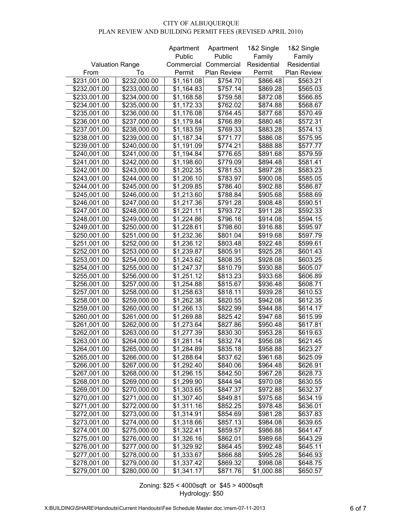|                        |              | Apartment  | Apartment   | 1&2 Single  | 1&2 Single  |
|------------------------|--------------|------------|-------------|-------------|-------------|
|                        |              | Public     | Public      | Family      | Family      |
| <b>Valuation Range</b> |              | Commercial | Commercial  | Residential | Residential |
| From                   | To           | Permit     | Plan Review | Permit      | Plan Review |
| \$231,001.00           | \$232,000.00 | \$1,161.08 | \$754.70    | \$866.48    | \$563.21    |
| \$232,001.00           | \$233,000.00 | \$1,164.83 | \$757.14    | \$869.28    | \$565.03    |
| \$233,001.00           | \$234,000.00 | \$1,168.58 | \$759.58    | \$872.08    | \$566.85    |
| \$234,001.00           | \$235,000.00 | \$1,172.33 | \$762.02    | \$874.88    | \$568.67    |
| \$235,001.00           | \$236,000.00 | \$1,176.08 | \$764.45    | \$877.68    | \$570.49    |
| \$236,001.00           | \$237,000.00 | \$1,179.84 | \$766.89    | \$880.48    | \$572.31    |
| \$237,001.00           | \$238,000.00 | \$1,183.59 | \$769.33    | \$883.28    | \$574.13    |
| \$238,001.00           | \$239,000.00 | \$1,187.34 | \$771.77    | \$886.08    | \$575.95    |
| \$239,001.00           | \$240,000.00 | \$1,191.09 | \$774.21    | \$888.88    | \$577.77    |
| \$240,001.00           | \$241,000.00 | \$1,194.84 | \$776.65    | \$891.68    | \$579.59    |
| \$241,001.00           | \$242,000.00 | \$1,198.60 | \$779.09    | \$894.48    | \$581.41    |
| \$242,001.00           | \$243,000.00 | \$1,202.35 | \$781.53    | \$897.28    | \$583.23    |
| \$243,001.00           | \$244,000.00 | \$1,206.10 | \$783.97    | \$900.08    | \$585.05    |
|                        | \$245,000.00 | \$1,209.85 |             | \$902.88    | \$586.87    |
| \$244,001.00           |              |            | \$786.40    |             |             |
| \$245,001.00           | \$246,000.00 | \$1,213.60 | \$788.84    | \$905.68    | \$588.69    |
| \$246,001.00           | \$247,000.00 | \$1,217.36 | \$791.28    | \$908.48    | \$590.51    |
| \$247,001.00           | \$248,000.00 | \$1,221.11 | \$793.72    | \$911.28    | \$592.33    |
| \$248,001.00           | \$249,000.00 | \$1,224.86 | \$796.16    | \$914.08    | \$594.15    |
| \$249,001.00           | \$250,000.00 | \$1,228.61 | \$798.60    | \$916.88    | \$595.97    |
| \$250,001.00           | \$251,000.00 | \$1,232.36 | \$801.04    | \$919.68    | \$597.79    |
| \$251,001.00           | \$252,000.00 | \$1,236.12 | \$803.48    | \$922.48    | \$599.61    |
| \$252,001.00           | \$253,000.00 | \$1,239.87 | \$805.91    | \$925.28    | \$601.43    |
| \$253,001.00           | \$254,000.00 | \$1,243.62 | \$808.35    | \$928.08    | \$603.25    |
| \$254,001.00           | \$255,000.00 | \$1,247.37 | \$810.79    | \$930.88    | \$605.07    |
| \$255,001.00           | \$256,000.00 | \$1,251.12 | \$813.23    | \$933.68    | \$606.89    |
| \$256,001.00           | \$257,000.00 | \$1,254.88 | \$815.67    | \$936.48    | \$608.71    |
| \$257,001.00           | \$258,000.00 | \$1,258.63 | \$818.11    | \$939.28    | \$610.53    |
| \$258,001.00           | \$259,000.00 | \$1,262.38 | \$820.55    | \$942.08    | \$612.35    |
| \$259,001.00           | \$260,000.00 | \$1,266.13 | \$822.99    | \$944.88    | \$614.17    |
| \$260,001.00           | \$261,000.00 | \$1,269.88 | \$825.42    | \$947.68    | \$615.99    |
| \$261,001.00           | \$262,000.00 | \$1,273.64 | \$827.86    | \$950.48    | \$617.81    |
| \$262,001.00           | \$263,000.00 | \$1,277.39 | \$830.30    | \$953.28    | \$619.63    |
| \$263,001.00           | \$264,000.00 | \$1,281.14 | \$832.74    | \$956.08    | \$621.45    |
| \$264,001.00           | \$265,000.00 | \$1,284.89 | \$835.18    | \$958.88    | \$623.27    |
| \$265,001.00           | \$266,000.00 | \$1,288.64 | \$837.62    | \$961.68    | \$625.09    |
| \$266,001.00           | \$267,000.00 | \$1,292.40 | \$840.06    | \$964.48    | \$626.91    |
| \$267,001.00           | \$268,000.00 | \$1,296.15 | \$842.50    | \$967.28    | \$628.73    |
| \$268,001.00           | \$269,000.00 | \$1,299.90 | \$844.94    | \$970.08    | \$630.55    |
| \$269,001.00           | \$270,000.00 | \$1,303.65 | \$847.37    | \$972.88    | \$632.37    |
| \$270,001.00           | \$271,000.00 | \$1,307.40 | \$849.81    | \$975.68    | \$634.19    |
| \$271,001.00           | \$272,000.00 | \$1,311.16 | \$852.25    | \$978.48    | \$636.01    |
| \$272,001.00           | \$273,000.00 | \$1,314.91 | \$854.69    | \$981.28    | \$637.83    |
| \$273,001.00           | \$274,000.00 | \$1,318.66 | \$857.13    | \$984.08    | \$639.65    |
| \$274,001.00           | \$275,000.00 | \$1,322.41 | \$859.57    | \$986.88    | \$641.47    |
| \$275,001.00           | \$276,000.00 | \$1,326.16 | \$862.01    | \$989.68    | \$643.29    |
| \$276,001.00           | \$277,000.00 | \$1,329.92 | \$864.45    | \$992.48    | \$645.11    |
| \$277,001.00           | \$278,000.00 | \$1,333.67 | \$866.88    | \$995.28    | \$646.93    |
| \$278,001.00           | \$279,000.00 | \$1,337.42 | \$869.32    | \$998.08    | \$648.75    |
| \$279,001.00           | \$280,000.00 | \$1,341.17 | \$871.76    | \$1,000.88  | \$650.57    |